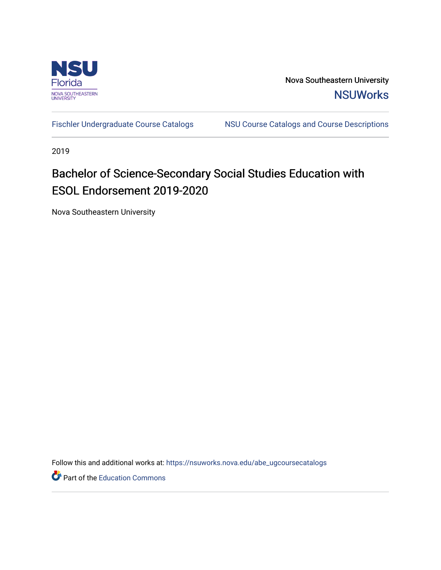

Nova Southeastern University **NSUWorks** 

[Fischler Undergraduate Course Catalogs](https://nsuworks.nova.edu/abe_ugcoursecatalogs) MSU Course Catalogs and Course Descriptions

2019

# Bachelor of Science-Secondary Social Studies Education with ESOL Endorsement 2019-2020

Nova Southeastern University

Follow this and additional works at: [https://nsuworks.nova.edu/abe\\_ugcoursecatalogs](https://nsuworks.nova.edu/abe_ugcoursecatalogs?utm_source=nsuworks.nova.edu%2Fabe_ugcoursecatalogs%2F28&utm_medium=PDF&utm_campaign=PDFCoverPages) 

Part of the [Education Commons](http://network.bepress.com/hgg/discipline/784?utm_source=nsuworks.nova.edu%2Fabe_ugcoursecatalogs%2F28&utm_medium=PDF&utm_campaign=PDFCoverPages)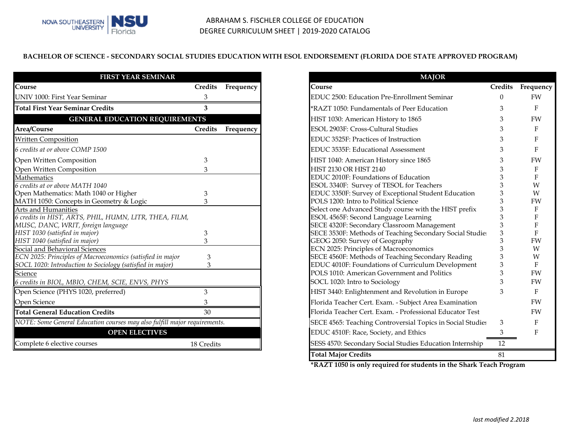### **BACHELOR OF SCIENCE - SECONDARY SOCIAL STUDIES EDUCATION WITH ESOL ENDORSEMENT (FLORIDA DOE STATE APPROVED PROGRAM)**

| <b>FIRST YEAR SEMINAR</b>                                                 |                |           |
|---------------------------------------------------------------------------|----------------|-----------|
| Course                                                                    | <b>Credits</b> | Frequency |
| <b>UNIV 1000: First Year Seminar</b>                                      | 3              |           |
| <b>Total First Year Seminar Credits</b>                                   | 3              |           |
| <b>GENERAL EDUCATION REQUIREMENTS</b>                                     |                |           |
| Area/Course                                                               | <b>Credits</b> | Frequency |
| <b>Written Composition</b>                                                |                |           |
| 6 credits at or above COMP 1500                                           |                |           |
| Open Written Composition                                                  | 3              |           |
| Open Written Composition                                                  | 3              |           |
| Mathematics                                                               |                |           |
| 6 credits at or above MATH 1040                                           |                |           |
| Open Mathematics: Math 1040 or Higher                                     | 3              |           |
| MATH 1050: Concepts in Geometry & Logic                                   | 3              |           |
| Arts and Humanities                                                       |                |           |
| 6 credits in HIST, ARTS, PHIL, HUMN, LITR, THEA, FILM,                    |                |           |
| MUSC, DANC, WRIT, foreign language                                        |                |           |
| HIST 1030 (satisfied in major)                                            | 3              |           |
| HIST 1040 (satisfied in major)                                            | 3              |           |
| Social and Behavioral Sciences                                            |                |           |
| ECN 2025: Principles of Macroeconomics (satisfied in major                | 3              |           |
| SOCL 1020: Introduction to Sociology (satisfied in major)                 | 3              |           |
| Science                                                                   |                |           |
| 6 credits in BIOL, MBIO, CHEM, SCIE, ENVS, PHYS                           |                |           |
| Open Science (PHYS 1020, preferred)                                       | 3              |           |
| Open Science                                                              | 3              |           |
| <b>Total General Education Credits</b>                                    | 30             |           |
| NOTE: Some General Education courses may also fulfill major requirements. |                |           |
| <b>OPEN ELECTIVES</b>                                                     |                |           |
| Complete 6 elective courses                                               | 18 Credits     |           |

|                   | <b>MAJOR</b>                                               |                |              |
|-------------------|------------------------------------------------------------|----------------|--------------|
| dits<br>Frequency | Course                                                     | <b>Credits</b> | Frequency    |
|                   | EDUC 2500: Education Pre-Enrollment Seminar                | $\Omega$       | <b>FW</b>    |
|                   | *RAZT 1050: Fundamentals of Peer Education                 | 3              | F            |
|                   | HIST 1030: American History to 1865                        | 3              | FW           |
| dits<br>Frequency | ESOL 2903F: Cross-Cultural Studies                         | 3              | $\mathbf{F}$ |
|                   | EDUC 3525F: Practices of Instruction                       | 3              | $\mathbf{F}$ |
|                   | EDUC 3535F: Educational Assessment                         | 3              | F            |
|                   | HIST 1040: American History since 1865                     | 3              | FW           |
|                   | HIST 2130 OR HIST 2140                                     | 3              | F            |
|                   | EDUC 2010F: Foundations of Education                       | 3              | F            |
|                   | ESOL 3340F: Survey of TESOL for Teachers                   | 3              | W            |
|                   | EDUC 3350F: Survey of Exceptional Student Education        | 3              | W            |
|                   | POLS 1200: Intro to Political Science                      | 3              | FW           |
|                   | Select one Advanced Study course with the HIST prefix      | 3              | F            |
|                   | ESOL 4565F: Second Language Learning                       | 3              | F            |
|                   | SECE 4320F: Secondary Classroom Management                 | 3              | F            |
|                   | SECE 3530F: Methods of Teaching Secondary Social Studie    | 3              | $\mathbf{F}$ |
|                   | GEOG 2050: Survey of Geography                             | 3              | <b>FW</b>    |
|                   | ECN 2025: Principles of Macroeconomics                     | 3              | W            |
|                   | SECE 4560F: Methods of Teaching Secondary Reading          | 3              | W            |
|                   | EDUC 4010F: Foundations of Curriculum Development          | 3              | F            |
|                   | POLS 1010: American Government and Politics                | 3              | FW           |
|                   |                                                            | 3              | FW           |
|                   | SOCL 1020: Intro to Sociology                              |                |              |
|                   | HIST 3440: Enlightenment and Revolution in Europe          | 3              | $\mathbf{F}$ |
|                   | Florida Teacher Cert. Exam. - Subject Area Examination     |                | <b>FW</b>    |
|                   | Florida Teacher Cert. Exam. - Professional Educator Test   |                | <b>FW</b>    |
| ements.           | SECE 4565: Teaching Controversial Topics in Social Studies | 3              | F            |
|                   | EDUC 4510F: Race, Society, and Ethics                      | 3              | F            |
| redits            | SESS 4570: Secondary Social Studies Education Internship   | 12             |              |
|                   | <b>Total Major Credits</b>                                 | 81             |              |

**\*RAZT 1050 is only required for students in the Shark Teach Program**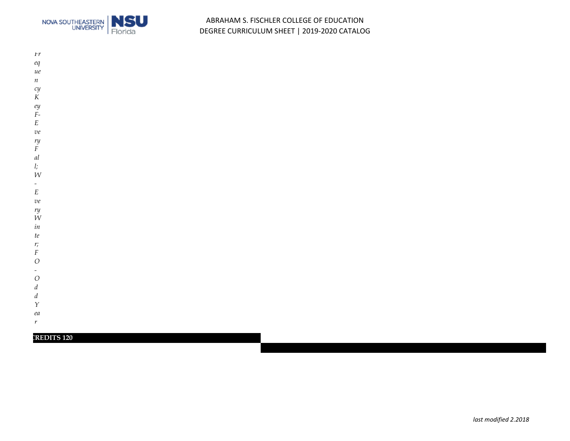

### ABRAHAM S. FISCHLER COLLEGE OF EDUCATION DEGREE CURRICULUM SHEET | 2019-2020 CATALOG

- *Fr eq*
- *ue*
- *n*
- *cy*
- *K*
- *ey*
- *F-*
- *E ve*
- *ry*
- *F*
- *al*
- *l;*
- *W*
- *-*
- *E*
- 
- *ve ry*
- *W*
- *in*
- *te*
- *r;*
- *F*
- *O*
- 
- *O*
- *d*
- *d*
- *Y*
- *ea*
- *r*

### **CREDITS 120**